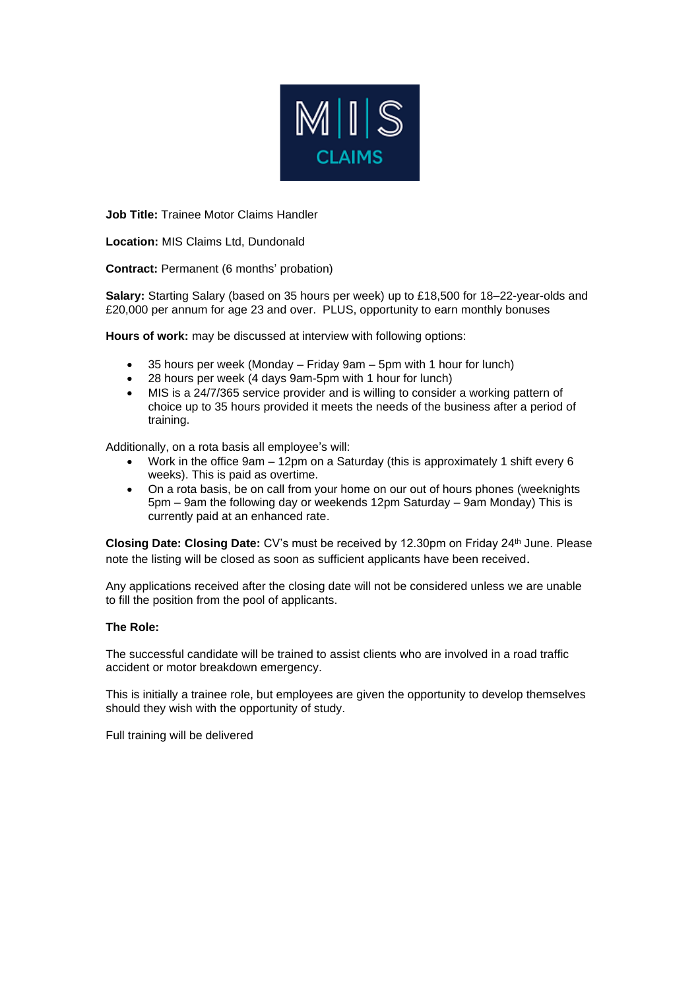

**Job Title:** Trainee Motor Claims Handler

**Location:** MIS Claims Ltd, Dundonald

**Contract:** Permanent (6 months' probation)

**Salary:** Starting Salary (based on 35 hours per week) up to £18,500 for 18–22-year-olds and £20,000 per annum for age 23 and over. PLUS, opportunity to earn monthly bonuses

**Hours of work:** may be discussed at interview with following options:

- 35 hours per week (Monday Friday 9am 5pm with 1 hour for lunch)
- 28 hours per week (4 days 9am-5pm with 1 hour for lunch)
- MIS is a 24/7/365 service provider and is willing to consider a working pattern of choice up to 35 hours provided it meets the needs of the business after a period of training.

Additionally, on a rota basis all employee's will:

- Work in the office 9am 12pm on a Saturday (this is approximately 1 shift every 6 weeks). This is paid as overtime.
- On a rota basis, be on call from your home on our out of hours phones (weeknights 5pm – 9am the following day or weekends 12pm Saturday – 9am Monday) This is currently paid at an enhanced rate.

**Closing Date: Closing Date:** CV's must be received by 12.30pm on Friday 24 th June. Please note the listing will be closed as soon as sufficient applicants have been received.

Any applications received after the closing date will not be considered unless we are unable to fill the position from the pool of applicants.

## **The Role:**

The successful candidate will be trained to assist clients who are involved in a road traffic accident or motor breakdown emergency.

This is initially a trainee role, but employees are given the opportunity to develop themselves should they wish with the opportunity of study.

Full training will be delivered